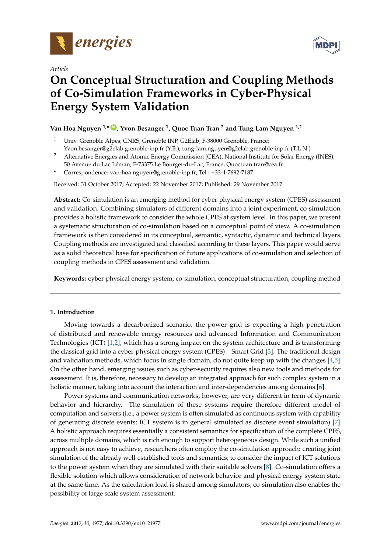

*Article*



# **On Conceptual Structuration and Coupling Methods of Co-Simulation Frameworks in Cyber-Physical Energy System Validation**

# **Van Hoa Nguyen 1,\* [ID](https://orcid.org/0000-0003-3182-7820) , Yvon Besanger <sup>1</sup> , Quoc Tuan Tran <sup>2</sup> and Tung Lam Nguyen 1,2**

- <sup>1</sup> Univ. Grenoble Alpes, CNRS, Grenoble INP, G2Elab, F-38000 Grenoble, France; Yvon.besanger@g2elab.grenoble-inp.fr (Y.B.); tung-lam.nguyen@g2elab.grenoble-inp.fr (T.L.N.)
- <sup>2</sup> Alternative Energies and Atomic Energy Commission (CEA), National Institute for Solar Energy (INES),
- 50 Avenue du Lac Léman, F-73375 Le Bourget-du-Lac, France; Quoctuan.tran@cea.fr
- **\*** Correspondence: van-hoa.nguyen@grenoble-inp.fr; Tel.: +33-4-7692-7187

Received: 31 October 2017; Accepted: 22 November 2017; Published: 29 November 2017

**Abstract:** Co-simulation is an emerging method for cyber-physical energy system (CPES) assessment and validation. Combining simulators of different domains into a joint experiment, co-simulation provides a holistic framework to consider the whole CPES at system level. In this paper, we present a systematic structuration of co-simulation based on a conceptual point of view. A co-simulation framework is then considered in its conceptual, semantic, syntactic, dynamic and technical layers. Coupling methods are investigated and classified according to these layers. This paper would serve as a solid theoretical base for specification of future applications of co-simulation and selection of coupling methods in CPES assessment and validation.

**Keywords:** cyber-physical energy system; co-simulation; conceptual structuration; coupling method

# **1. Introduction**

Moving towards a decarbonized scenario, the power grid is expecting a high penetration of distributed and renewable energy resources and advanced Information and Communication Technologies (ICT) [\[1](#page-14-0)[,2\]](#page-14-1), which has a strong impact on the system architecture and is transforming the classical grid into a cyber-physical energy system (CPES)—Smart Grid [\[3\]](#page-14-2). The traditional design and validation methods, which focus in single domain, do not quite keep up with the changes [\[4,](#page-15-0)[5\]](#page-15-1). On the other hand, emerging issues such as cyber-security requires also new tools and methods for assessment. It is, therefore, necessary to develop an integrated approach for such complex system in a holistic manner, taking into account the interaction and inter-dependencies among domains [\[6\]](#page-15-2).

Power systems and communication networks, however, are very different in term of dynamic behavior and hierarchy. The simulation of these systems require therefore different model of computation and solvers (i.e., a power system is often simulated as continuous system with capability of generating discrete events; ICT system is in general simulated as discrete event simulation) [\[7\]](#page-15-3). A holistic approach requires essentially a consistent semantics for specification of the complete CPES, across multiple domains, which is rich enough to support heterogeneous design. While such a unified approach is not easy to achieve, researchers often employ the co-simulation approach: creating joint simulation of the already well-established tools and semantics; to consider the impact of ICT solutions to the power system when they are simulated with their suitable solvers [\[8\]](#page-15-4). Co-simulation offers a flexible solution which allows consideration of network behavior and physical energy system state at the same time. As the calculation load is shared among simulators, co-simulation also enables the possibility of large scale system assessment.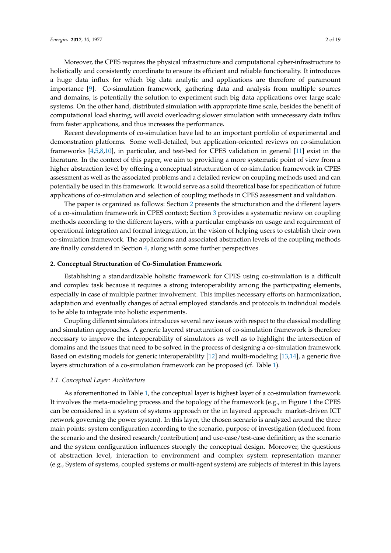Moreover, the CPES requires the physical infrastructure and computational cyber-infrastructure to holistically and consistently coordinate to ensure its efficient and reliable functionality. It introduces

a huge data influx for which big data analytic and applications are therefore of paramount importance [\[9\]](#page-15-5). Co-simulation framework, gathering data and analysis from multiple sources and domains, is potentially the solution to experiment such big data applications over large scale systems. On the other hand, distributed simulation with appropriate time scale, besides the benefit of computational load sharing, will avoid overloading slower simulation with unnecessary data influx from faster applications, and thus increases the performance.

Recent developments of co-simulation have led to an important portfolio of experimental and demonstration platforms. Some well-detailed, but application-oriented reviews on co-simulation frameworks [\[4,](#page-15-0)[5,](#page-15-1)[8](#page-15-4)[,10\]](#page-15-6), in particular, and test-bed for CPES validation in general [\[11\]](#page-15-7) exist in the literature. In the context of this paper, we aim to providing a more systematic point of view from a higher abstraction level by offering a conceptual structuration of co-simulation framework in CPES assessment as well as the associated problems and a detailed review on coupling methods used and can potentially be used in this framework. It would serve as a solid theoretical base for specification of future applications of co-simulation and selection of coupling methods in CPES assessment and validation.

The paper is organized as follows: Section [2](#page-1-0) presents the structuration and the different layers of a co-simulation framework in CPES context; Section [3](#page-7-0) provides a systematic review on coupling methods according to the different layers, with a particular emphasis on usage and requirement of operational integration and formal integration, in the vision of helping users to establish their own co-simulation framework. The applications and associated abstraction levels of the coupling methods are finally considered in Section [4,](#page-13-0) along with some further perspectives.

#### <span id="page-1-0"></span>**2. Conceptual Structuration of Co-Simulation Framework**

Establishing a standardizable holistic framework for CPES using co-simulation is a difficult and complex task because it requires a strong interoperability among the participating elements, especially in case of multiple partner involvement. This implies necessary efforts on harmonization, adaptation and eventually changes of actual employed standards and protocols in individual models to be able to integrate into holistic experiments.

Coupling different simulators introduces several new issues with respect to the classical modelling and simulation approaches. A generic layered structuration of co-simulation framework is therefore necessary to improve the interoperability of simulators as well as to highlight the intersection of domains and the issues that need to be solved in the process of designing a co-simulation framework. Based on existing models for generic interoperability [\[12\]](#page-15-8) and multi-modeling [\[13](#page-15-9)[,14\]](#page-15-10), a generic five layers structuration of a co-simulation framework can be proposed (cf. Table [1\)](#page-2-0).

#### *2.1. Conceptual Layer: Architecture*

As aforementioned in Table [1,](#page-2-0) the conceptual layer is highest layer of a co-simulation framework. It involves the meta-modeling process and the topology of the framework (e.g., in Figure [1](#page-2-1) the CPES can be considered in a system of systems approach or the in layered approach: market-driven ICT network governing the power system). In this layer, the chosen scenario is analyzed around the three main points: system configuration according to the scenario, purpose of investigation (deduced from the scenario and the desired research/contribution) and use-case/test-case definition; as the scenario and the system configuration influences strongly the conceptual design. Moreover, the questions of abstraction level, interaction to environment and complex system representation manner (e.g., System of systems, coupled systems or multi-agent system) are subjects of interest in this layers.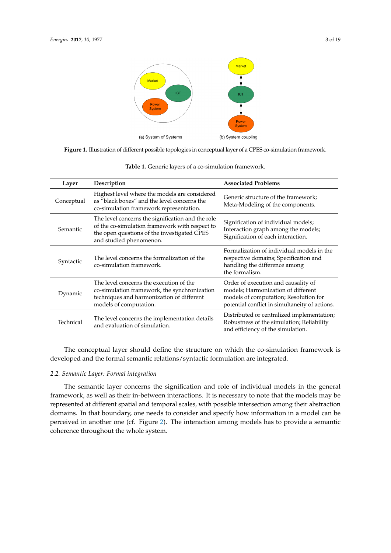<span id="page-2-1"></span>

**Figure 1.** Illustration of different possible topologies in conceptual layer of a CPES co-simulation framework.

<span id="page-2-0"></span>

| Layer      | Description                                                                                                                                                                   | <b>Associated Problems</b>                                                                                                                                           |
|------------|-------------------------------------------------------------------------------------------------------------------------------------------------------------------------------|----------------------------------------------------------------------------------------------------------------------------------------------------------------------|
| Conceptual | Highest level where the models are considered<br>as "black boxes" and the level concerns the<br>co-simulation framework representation.                                       | Generic structure of the framework;<br>Meta-Modeling of the components.                                                                                              |
| Semantic   | The level concerns the signification and the role<br>of the co-simulation framework with respect to<br>the open questions of the investigated CPES<br>and studied phenomenon. | Signification of individual models;<br>Interaction graph among the models;<br>Signification of each interaction.                                                     |
| Syntactic  | The level concerns the formalization of the<br>co-simulation framework.                                                                                                       | Formalization of individual models in the<br>respective domains; Specification and<br>handling the difference among<br>the formalism.                                |
| Dynamic    | The level concerns the execution of the<br>co-simulation framework, the synchronization<br>techniques and harmonization of different<br>models of computation.                | Order of execution and causality of<br>models; Harmonization of different<br>models of computation; Resolution for<br>potential conflict in simultaneity of actions. |
| Technical  | The level concerns the implementation details<br>and evaluation of simulation.                                                                                                | Distributed or centralized implementation;<br>Robustness of the simulation; Reliability<br>and efficiency of the simulation.                                         |

**Table 1.** Generic layers of a co-simulation framework.

The conceptual layer should define the structure on which the co-simulation framework is developed and the formal semantic relations/syntactic formulation are integrated.

## *2.2. Semantic Layer: Formal integration*

The semantic layer concerns the signification and role of individual models in the general framework, as well as their in-between interactions. It is necessary to note that the models may be represented at different spatial and temporal scales, with possible intersection among their abstraction domains. In that boundary, one needs to consider and specify how information in a model can be perceived in another one (cf. Figure [2\)](#page-3-0). The interaction among models has to provide a semantic coherence throughout the whole system.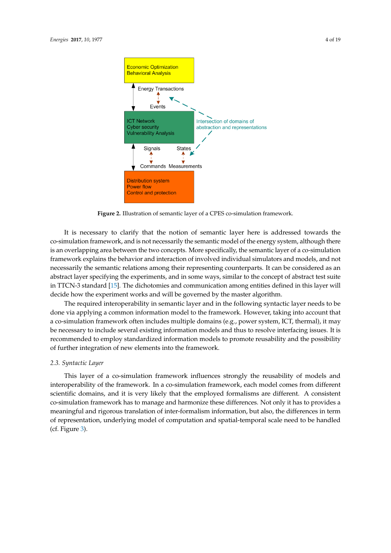<span id="page-3-0"></span>

**Figure 2.** Illustration of semantic layer of a CPES co-simulation framework.

It is necessary to clarify that the notion of semantic layer here is addressed towards the co-simulation framework, and is not necessarily the semantic model of the energy system, although there is an overlapping area between the two concepts. More specifically, the semantic layer of a co-simulation framework explains the behavior and interaction of involved individual simulators and models, and not necessarily the semantic relations among their representing counterparts. It can be considered as an abstract layer specifying the experiments, and in some ways, similar to the concept of abstract test suite in TTCN-3 standard [\[15\]](#page-15-11). The dichotomies and communication among entities defined in this layer will decide how the experiment works and will be governed by the master algorithm.

The required interoperability in semantic layer and in the following syntactic layer needs to be done via applying a common information model to the framework. However, taking into account that a co-simulation framework often includes multiple domains (e.g., power system, ICT, thermal), it may be necessary to include several existing information models and thus to resolve interfacing issues. It is recommended to employ standardized information models to promote reusability and the possibility of further integration of new elements into the framework.

# *2.3. Syntactic Layer*

This layer of a co-simulation framework influences strongly the reusability of models and interoperability of the framework. In a co-simulation framework, each model comes from different scientific domains, and it is very likely that the employed formalisms are different. A consistent co-simulation framework has to manage and harmonize these differences. Not only it has to provides a meaningful and rigorous translation of inter-formalism information, but also, the differences in term of representation, underlying model of computation and spatial-temporal scale need to be handled (cf. Figure [3\)](#page-4-0).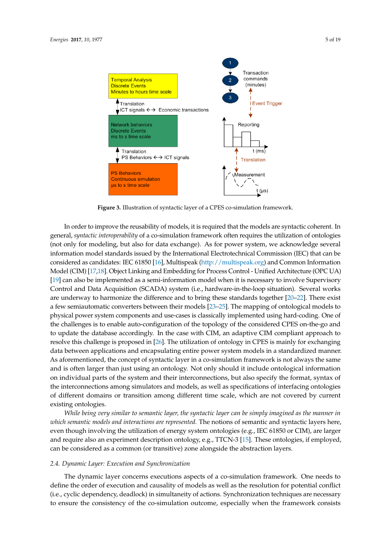<span id="page-4-0"></span>

**Figure 3.** Illustration of syntactic layer of a CPES co-simulation framework.

In order to improve the reusability of models, it is required that the models are syntactic coherent. In general, *syntactic interoperability* of a co-simulation framework often requires the utilization of ontologies (not only for modeling, but also for data exchange). As for power system, we acknowledge several information model standards issued by the International Electrotechnical Commission (IEC) that can be considered as candidates: IEC 61850 [\[16\]](#page-15-12), Multispeak [\(http://multispeak.org\)](http://multispeak.org) and Common Information Model (CIM) [\[17,](#page-15-13)[18\]](#page-15-14). Object Linking and Embedding for Process Control - Unified Architecture (OPC UA) [\[19\]](#page-15-15) can also be implemented as a semi-information model when it is necessary to involve Supervisory Control and Data Acquisition (SCADA) system (i.e., hardware-in-the-loop situation). Several works are underway to harmonize the difference and to bring these standards together [\[20](#page-15-16)[–22\]](#page-15-17). There exist a few semiautomatic converters between their models [\[23–](#page-15-18)[25\]](#page-16-0). The mapping of ontological models to physical power system components and use-cases is classically implemented using hard-coding. One of the challenges is to enable auto-configuration of the topology of the considered CPES on-the-go and to update the database accordingly. In the case with CIM, an adaptive CIM compliant approach to resolve this challenge is proposed in [\[26\]](#page-16-1). The utilization of ontology in CPES is mainly for exchanging data between applications and encapsulating entire power system models in a standardized manner. As aforementioned, the concept of syntactic layer in a co-simulation framework is not always the same and is often larger than just using an ontology. Not only should it include ontological information on individual parts of the system and their interconnections, but also specify the format, syntax of the interconnections among simulators and models, as well as specifications of interfacing ontologies of different domains or transition among different time scale, which are not covered by current existing ontologies.

*While being very similar to semantic layer, the syntactic layer can be simply imagined as the manner in which semantic models and interactions are represented.* The notions of semantic and syntactic layers here, even though involving the utilization of energy system ontologies (e.g., IEC 61850 or CIM), are larger and require also an experiment description ontology, e.g., TTCN-3 [\[15\]](#page-15-11). These ontologies, if employed, can be considered as a common (or transitive) zone alongside the abstraction layers.

# *2.4. Dynamic Layer: Execution and Synchronization*

The dynamic layer concerns executions aspects of a co-simulation framework. One needs to define the order of execution and causality of models as well as the resolution for potential conflict (i.e., cyclic dependency, deadlock) in simultaneity of actions. Synchronization techniques are necessary to ensure the consistency of the co-simulation outcome, especially when the framework consists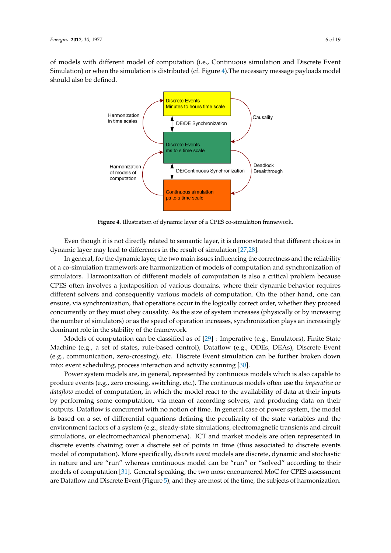<span id="page-5-0"></span>of models with different model of computation (i.e., Continuous simulation and Discrete Event Simulation) or when the simulation is distributed (cf. Figure [4\)](#page-5-0).The necessary message payloads model should also be defined.



**Figure 4.** Illustration of dynamic layer of a CPES co-simulation framework.

Even though it is not directly related to semantic layer, it is demonstrated that different choices in dynamic layer may lead to differences in the result of simulation [\[27](#page-16-2)[,28\]](#page-16-3).

In general, for the dynamic layer, the two main issues influencing the correctness and the reliability of a co-simulation framework are harmonization of models of computation and synchronization of simulators. Harmonization of different models of computation is also a critical problem because CPES often involves a juxtaposition of various domains, where their dynamic behavior requires different solvers and consequently various models of computation. On the other hand, one can ensure, via synchronization, that operations occur in the logically correct order, whether they proceed concurrently or they must obey causality. As the size of system increases (physically or by increasing the number of simulators) or as the speed of operation increases, synchronization plays an increasingly dominant role in the stability of the framework.

Models of computation can be classified as of [\[29\]](#page-16-4) : Imperative (e.g., Emulators), Finite State Machine (e.g., a set of states, rule-based control), Dataflow (e.g., ODEs, DEAs), Discrete Event (e.g., communication, zero-crossing), etc. Discrete Event simulation can be further broken down into: event scheduling, process interaction and activity scanning [\[30\]](#page-16-5).

Power system models are, in general, represented by continuous models which is also capable to produce events (e.g., zero crossing, switching, etc.). The continuous models often use the *imperative* or *dataflow* model of computation, in which the model react to the availability of data at their inputs by performing some computation, via mean of according solvers, and producing data on their outputs. Dataflow is concurrent with no notion of time. In general case of power system, the model is based on a set of differential equations defining the peculiarity of the state variables and the environment factors of a system (e.g., steady-state simulations, electromagnetic transients and circuit simulations, or electromechanical phenomena). ICT and market models are often represented in discrete events chaining over a discrete set of points in time (thus associated to discrete events model of computation). More specifically, *discrete event* models are discrete, dynamic and stochastic in nature and are "run" whereas continuous model can be "run" or "solved" according to their models of computation [\[31\]](#page-16-6). General speaking, the two most encountered MoC for CPES assessment are Dataflow and Discrete Event (Figure [5\)](#page-6-0), and they are most of the time, the subjects of harmonization.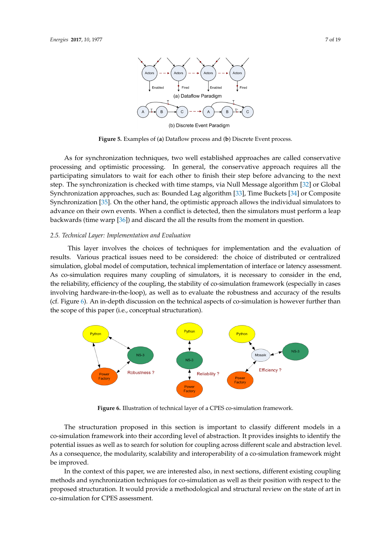<span id="page-6-0"></span>

(b) Discrete Event Paradigm

**Figure 5.** Examples of (**a**) Dataflow process and (**b**) Discrete Event process.

As for synchronization techniques, two well established approaches are called conservative processing and optimistic processing. In general, the conservative approach requires all the participating simulators to wait for each other to finish their step before advancing to the next step. The synchronization is checked with time stamps, via Null Message algorithm [\[32\]](#page-16-7) or Global Synchronization approaches, such as: Bounded Lag algorithm [\[33\]](#page-16-8), Time Buckets [\[34\]](#page-16-9) or Composite Synchronization [\[35\]](#page-16-10). On the other hand, the optimistic approach allows the individual simulators to advance on their own events. When a conflict is detected, then the simulators must perform a leap backwards (time warp [\[36\]](#page-16-11)) and discard the all the results from the moment in question.

# *2.5. Technical Layer: Implementation and Evaluation*

This layer involves the choices of techniques for implementation and the evaluation of results. Various practical issues need to be considered: the choice of distributed or centralized simulation, global model of computation, technical implementation of interface or latency assessment. As co-simulation requires many coupling of simulators, it is necessary to consider in the end, the reliability, efficiency of the coupling, the stability of co-simulation framework (especially in cases involving hardware-in-the-loop), as well as to evaluate the robustness and accuracy of the results (cf. Figure [6\)](#page-6-1). An in-depth discussion on the technical aspects of co-simulation is however further than the scope of this paper (i.e., conceptual structuration).

<span id="page-6-1"></span>

**Figure 6.** Illustration of technical layer of a CPES co-simulation framework.

The structuration proposed in this section is important to classify different models in a co-simulation framework into their according level of abstraction. It provides insights to identify the potential issues as well as to search for solution for coupling across different scale and abstraction level. As a consequence, the modularity, scalability and interoperability of a co-simulation framework might be improved.

In the context of this paper, we are interested also, in next sections, different existing coupling methods and synchronization techniques for co-simulation as well as their position with respect to the proposed structuration. It would provide a methodological and structural review on the state of art in co-simulation for CPES assessment.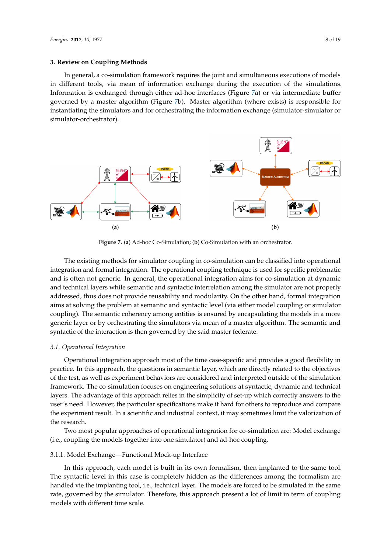#### <span id="page-7-0"></span>**3. Review on Coupling Methods**

In general, a co-simulation framework requires the joint and simultaneous executions of models in different tools, via mean of information exchange during the execution of the simulations. Information is exchanged through either ad-hoc interfaces (Figure [7a](#page-7-1)) or via intermediate buffer governed by a master algorithm (Figure [7b](#page-7-1)). Master algorithm (where exists) is responsible for instantiating the simulators and for orchestrating the information exchange (simulator-simulator or simulator-orchestrator).

<span id="page-7-1"></span>

**Figure 7.** (**a**) Ad-hoc Co-Simulation; (**b**) Co-Simulation with an orchestrator.

The existing methods for simulator coupling in co-simulation can be classified into operational integration and formal integration. The operational coupling technique is used for specific problematic and is often not generic. In general, the operational integration aims for co-simulation at dynamic and technical layers while semantic and syntactic interrelation among the simulator are not properly addressed, thus does not provide reusability and modularity. On the other hand, formal integration aims at solving the problem at semantic and syntactic level (via either model coupling or simulator coupling). The semantic coherency among entities is ensured by encapsulating the models in a more generic layer or by orchestrating the simulators via mean of a master algorithm. The semantic and syntactic of the interaction is then governed by the said master federate.

#### *3.1. Operational Integration*

Operational integration approach most of the time case-specific and provides a good flexibility in practice. In this approach, the questions in semantic layer, which are directly related to the objectives of the test, as well as experiment behaviors are considered and interpreted outside of the simulation framework. The co-simulation focuses on engineering solutions at syntactic, dynamic and technical layers. The advantage of this approach relies in the simplicity of set-up which correctly answers to the user's need. However, the particular specifications make it hard for others to reproduce and compare the experiment result. In a scientific and industrial context, it may sometimes limit the valorization of the research.

Two most popular approaches of operational integration for co-simulation are: Model exchange (i.e., coupling the models together into one simulator) and ad-hoc coupling.

# 3.1.1. Model Exchange—Functional Mock-up Interface

In this approach, each model is built in its own formalism, then implanted to the same tool. The syntactic level in this case is completely hidden as the differences among the formalism are handled vie the implanting tool, i.e., technical layer. The models are forced to be simulated in the same rate, governed by the simulator. Therefore, this approach present a lot of limit in term of coupling models with different time scale.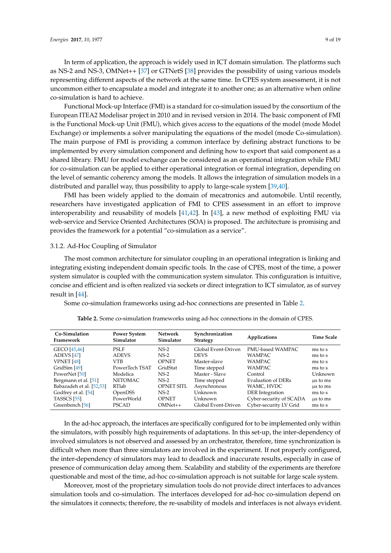In term of application, the approach is widely used in ICT domain simulation. The platforms such as NS-2 and NS-3, OMNet++ [\[37\]](#page-16-12) or GTNetS [\[38\]](#page-16-13) provides the possibility of using various models representing different aspects of the network at the same time. In CPES system assessment, it is not uncommon either to encapsulate a model and integrate it to another one; as an alternative when online co-simulation is hard to achieve.

Functional Mock-up Interface (FMI) is a standard for co-simulation issued by the consortium of the European ITEA2 Modelisar project in 2010 and in revised version in 2014. The basic component of FMI is the Functional Mock-up Unit (FMU), which gives access to the equations of the model (mode Model Exchange) or implements a solver manipulating the equations of the model (mode Co-simulation). The main purpose of FMI is providing a common interface by defining abstract functions to be implemented by every simulation component and defining how to export that said component as a shared library. FMU for model exchange can be considered as an operational integration while FMU for co-simulation can be applied to either operational integration or formal integration, depending on the level of semantic coherency among the models. It allows the integration of simulation models in a distributed and parallel way, thus possibility to apply to large-scale system [\[39,](#page-16-14)[40\]](#page-16-15).

FMI has been widely applied to the domain of mecatronics and automobile. Until recently, researchers have investigated application of FMI to CPES assessment in an effort to improve interoperability and reusability of models [\[41](#page-16-16)[,42\]](#page-16-17). In [\[43\]](#page-16-18), a new method of exploiting FMU via web-service and Service Oriented Architectures (SOA) is proposed. The architecture is promising and provides the framework for a potential "co-simulation as a service".

#### 3.1.2. Ad-Hoc Coupling of Simulator

The most common architecture for simulator coupling in an operational integration is linking and integrating existing independent domain specific tools. In the case of CPES, most of the time, a power system simulator is coupled with the communication system simulator. This configuration is intuitive, concise and efficient and is often realized via sockets or direct integration to ICT simulator, as of survey result in [\[44\]](#page-16-19).

<span id="page-8-0"></span>Some co-simulation frameworks using ad-hoc connections are presented in Table [2.](#page-8-0)

| Co-Simulation<br>Framework | <b>Power System</b><br>Simulator | Network<br>Simulator | Synchronization<br><b>Strategy</b> | Applications            | <b>Time Scale</b> |
|----------------------------|----------------------------------|----------------------|------------------------------------|-------------------------|-------------------|
| GECO <sup>[45,46]</sup>    | PSLF                             | $NS-2$               | Global Event-Driven                | PMU-based WAMPAC        | ms to s           |
| ADEVS [47]                 | <b>ADEVS</b>                     | $NS-2$               | <b>DEVS</b>                        | <b>WAMPAC</b>           | ms to s           |
| VPNET [48]                 | VTB.                             | <b>OPNET</b>         | Master-slave                       | WAMPAC                  | ms to s           |
| GridSim [49]               | PowerTech TSAT                   | GridStat             | Time stepped                       | WAMPAC                  | ms to s           |
| PowerNet [50]              | Modelica                         | $NS-2$               | Master - Slave                     | Control                 | Unknown           |
| Bergmann et al. [51]       | NETOMAC                          | $NS-2$               | Time stepped                       | Evaluation of DERs      | us to ms          |
| Babazadeh et al. [52,53]   | RTlab                            | OPNET SITL           | Asynchronous                       | WAMC, HVDC              | us to ms          |
| Godfrey et al. [54]        | <b>OpenDSS</b>                   | $NS-2$               | Unknown                            | <b>DER</b> Integration  | ms to s           |
| TASSCS [55]                | PowerWorld                       | <b>OPNET</b>         | Unknown                            | Cyber-security of SCADA | us to ms          |
| Greenbench [56]            | <b>PSCAD</b>                     | $OMNet++$            | Global Event-Driven                | Cyber-security LV Grid  | ms to s           |

**Table 2.** Some co-simulation frameworks using ad-hoc connections in the domain of CPES.

In the ad-hoc approach, the interfaces are specifically configured for to be implemented only within the simulators, with possibly high requirements of adaptations. In this set-up, the inter-dependency of involved simulators is not observed and assessed by an orchestrator, therefore, time synchronization is difficult when more than three simulators are involved in the experiment. If not properly configured, the inter-dependency of simulators may lead to deadlock and inaccurate results, especially in case of presence of communication delay among them. Scalability and stability of the experiments are therefore questionable and most of the time, ad-hoc co-simulation approach is not suitable for large scale system.

Moreover, most of the proprietary simulation tools do not provide direct interfaces to advances simulation tools and co-simulation. The interfaces developed for ad-hoc co-simulation depend on the simulators it connects; therefore, the re-usability of models and interfaces is not always evident.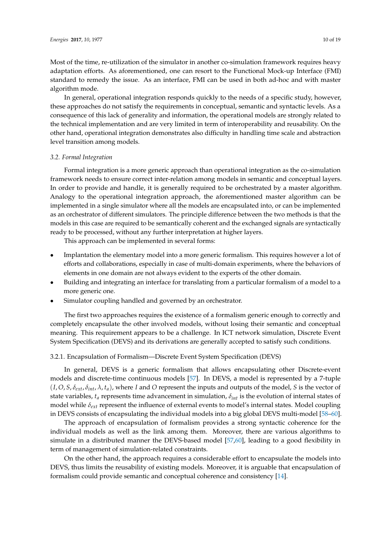Most of the time, re-utilization of the simulator in another co-simulation framework requires heavy adaptation efforts. As aforementioned, one can resort to the Functional Mock-up Interface (FMI) standard to remedy the issue. As an interface, FMI can be used in both ad-hoc and with master algorithm mode.

In general, operational integration responds quickly to the needs of a specific study, however, these approaches do not satisfy the requirements in conceptual, semantic and syntactic levels. As a consequence of this lack of generality and information, the operational models are strongly related to the technical implementation and are very limited in term of interoperability and reusability. On the other hand, operational integration demonstrates also difficulty in handling time scale and abstraction level transition among models.

# *3.2. Formal Integration*

Formal integration is a more generic approach than operational integration as the co-simulation framework needs to ensure correct inter-relation among models in semantic and conceptual layers. In order to provide and handle, it is generally required to be orchestrated by a master algorithm. Analogy to the operational integration approach, the aforementioned master algorithm can be implemented in a single simulator where all the models are encapsulated into, or can be implemented as an orchestrator of different simulators. The principle difference between the two methods is that the models in this case are required to be semantically coherent and the exchanged signals are syntactically ready to be processed, without any further interpretation at higher layers.

This approach can be implemented in several forms:

- Implantation the elementary model into a more generic formalism. This requires however a lot of efforts and collaborations, especially in case of multi-domain experiments, where the behaviors of elements in one domain are not always evident to the experts of the other domain.
- Building and integrating an interface for translating from a particular formalism of a model to a more generic one.
- Simulator coupling handled and governed by an orchestrator.

The first two approaches requires the existence of a formalism generic enough to correctly and completely encapsulate the other involved models, without losing their semantic and conceptual meaning. This requirement appears to be a challenge. In ICT network simulation, Discrete Event System Specification (DEVS) and its derivations are generally accepted to satisfy such conditions.

#### 3.2.1. Encapsulation of Formalism—Discrete Event System Specification (DEVS)

In general, DEVS is a generic formalism that allows encapsulating other Discrete-event models and discrete-time continuous models [\[57\]](#page-17-11). In DEVS, a model is represented by a 7-tuple  $(I, O, S, \delta_{ext}, \delta_{int}, \lambda, t_a)$ , where *I* and *O* represent the inputs and outputs of the model, *S* is the vector of state variables, *t<sup>a</sup>* represents time advancement in simulation, *δint* is the evolution of internal states of model while *δext* represent the influence of external events to model's internal states. Model coupling in DEVS consists of encapsulating the individual models into a big global DEVS multi-model [\[58–](#page-17-12)[60\]](#page-17-13).

The approach of encapsulation of formalism provides a strong syntactic coherence for the individual models as well as the link among them. Moreover, there are various algorithms to simulate in a distributed manner the DEVS-based model [\[57,](#page-17-11)[60\]](#page-17-13), leading to a good flexibility in term of management of simulation-related constraints.

On the other hand, the approach requires a considerable effort to encapsulate the models into DEVS, thus limits the reusability of existing models. Moreover, it is arguable that encapsulation of formalism could provide semantic and conceptual coherence and consistency [\[14\]](#page-15-10).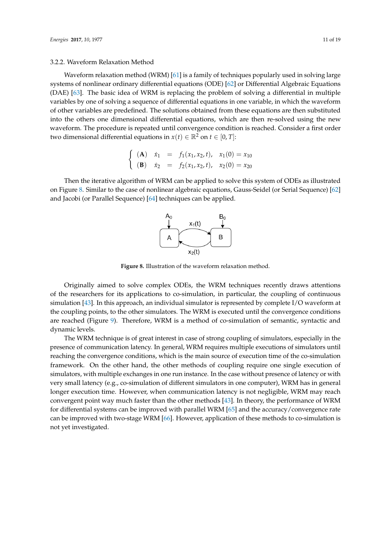#### 3.2.2. Waveform Relaxation Method

Waveform relaxation method (WRM) [\[61\]](#page-17-14) is a family of techniques popularly used in solving large systems of nonlinear ordinary differential equations (ODE) [\[62\]](#page-17-15) or Differential Algebraic Equations (DAE) [\[63\]](#page-17-16). The basic idea of WRM is replacing the problem of solving a differential in multiple variables by one of solving a sequence of differential equations in one variable, in which the waveform of other variables are predefined. The solutions obtained from these equations are then substituted into the others one dimensional differential equations, which are then re-solved using the new waveform. The procedure is repeated until convergence condition is reached. Consider a first order two dimensional differential equations in  $x(t) \in \mathbb{R}^2$  on  $t \in [0, T]$ :

$$
\begin{cases}\n\text{(A)} \quad \dot{x}_1 = f_1(x_1, x_2, t), & x_1(0) = x_{10} \\
\text{(B)} \quad \dot{x}_2 = f_2(x_1, x_2, t), & x_2(0) = x_{20}\n\end{cases}
$$

<span id="page-10-0"></span>Then the iterative algorithm of WRM can be applied to solve this system of ODEs as illustrated on Figure [8.](#page-10-0) Similar to the case of nonlinear algebraic equations, Gauss-Seidel (or Serial Sequence) [\[62\]](#page-17-15) and Jacobi (or Parallel Sequence) [\[64\]](#page-17-17) techniques can be applied.



**Figure 8.** Illustration of the waveform relaxation method.

Originally aimed to solve complex ODEs, the WRM techniques recently draws attentions of the researchers for its applications to co-simulation, in particular, the coupling of continuous simulation [\[43\]](#page-16-18). In this approach, an individual simulator is represented by complete I/O waveform at the coupling points, to the other simulators. The WRM is executed until the convergence conditions are reached (Figure [9\)](#page-11-0). Therefore, WRM is a method of co-simulation of semantic, syntactic and dynamic levels.

The WRM technique is of great interest in case of strong coupling of simulators, especially in the presence of communication latency. In general, WRM requires multiple executions of simulators until reaching the convergence conditions, which is the main source of execution time of the co-simulation framework. On the other hand, the other methods of coupling require one single execution of simulators, with multiple exchanges in one run instance. In the case without presence of latency or with very small latency (e.g., co-simulation of different simulators in one computer), WRM has in general longer execution time. However, when communication latency is not negligible, WRM may reach convergent point way much faster than the other methods [\[43\]](#page-16-18). In theory, the performance of WRM for differential systems can be improved with parallel WRM [\[65\]](#page-17-18) and the accuracy/convergence rate can be improved with two-stage WRM [\[66\]](#page-17-19). However, application of these methods to co-simulation is not yet investigated.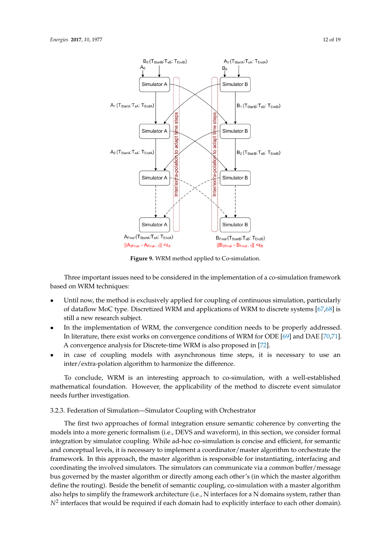<span id="page-11-0"></span>

**Figure 9.** WRM method applied to Co-simulation.

Three important issues need to be considered in the implementation of a co-simulation framework based on WRM techniques:

- Until now, the method is exclusively applied for coupling of continuous simulation, particularly of dataflow MoC type. Discretized WRM and applications of WRM to discrete systems [\[67](#page-17-20)[,68\]](#page-18-0) is still a new research subject.
- In the implementation of WRM, the convergence condition needs to be properly addressed. In literature, there exist works on convergence conditions of WRM for ODE [\[69\]](#page-18-1) and DAE [\[70](#page-18-2)[,71\]](#page-18-3). A convergence analysis for Discrete-time WRM is also proposed in [\[72\]](#page-18-4).
- in case of coupling models with asynchronous time steps, it is necessary to use an inter/extra-polation algorithm to harmonize the difference.

To conclude, WRM is an interesting approach to co-simulation, with a well-established mathematical foundation. However, the applicability of the method to discrete event simulator needs further investigation.

# 3.2.3. Federation of Simulation—Simulator Coupling with Orchestrator

The first two approaches of formal integration ensure semantic coherence by converting the models into a more generic formalism (i.e., DEVS and waveform), in this section, we consider formal integration by simulator coupling. While ad-hoc co-simulation is concise and efficient, for semantic and conceptual levels, it is necessary to implement a coordinator/master algorithm to orchestrate the framework. In this approach, the master algorithm is responsible for instantiating, interfacing and coordinating the involved simulators. The simulators can communicate via a common buffer/message bus governed by the master algorithm or directly among each other's (in which the master algorithm define the routing). Beside the benefit of semantic coupling, co-simulation with a master algorithm also helps to simplify the framework architecture (i.e., N interfaces for a N domains system, rather than  $N^2$  interfaces that would be required if each domain had to explicitly interface to each other domain).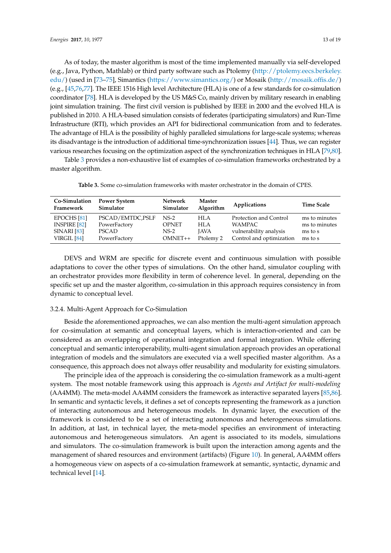As of today, the master algorithm is most of the time implemented manually via self-developed (e.g., Java, Python, Mathlab) or third party software such as Ptolemy [\(http://ptolemy.eecs.berkeley.](http://ptolemy.eecs.berkeley.edu/) [edu/\)](http://ptolemy.eecs.berkeley.edu/) (used in [\[73](#page-18-5)[–75\]](#page-18-6), Simantics [\(https://www.simantics.org/\)](https://www.simantics.org/) or Mosaik [\(http://mosaik.offis.de/\)](http://mosaik.offis.de/) (e.g., [\[45,](#page-16-20)[76,](#page-18-7)[77\]](#page-18-8). The IEEE 1516 High level Architecture (HLA) is one of a few standards for co-simulation coordinator [\[78\]](#page-18-9). HLA is developed by the US M&S Co, mainly driven by military research in enabling joint simulation training. The first civil version is published by IEEE in 2000 and the evolved HLA is published in 2010. A HLA-based simulation consists of federates (participating simulators) and Run-Time Infrastructure (RTI), which provides an API for bidirectional communication from and to federates. The advantage of HLA is the possibility of highly paralleled simulations for large-scale systems; whereas its disadvantage is the introduction of additional time-synchronization issues [\[44\]](#page-16-19). Thus, we can register various researches focusing on the optimization aspect of the synchronization techniques in HLA [\[79](#page-18-10)[,80\]](#page-18-11).

<span id="page-12-0"></span>Table [3](#page-12-0) provides a non-exhaustive list of examples of co-simulation frameworks orchestrated by a master algorithm.

| Co-Simulation<br>Framework | <b>Power System</b><br><b>Simulator</b> | <b>Network</b><br>Simulator | <b>Master</b><br>Algorithm | Applications             | <b>Time Scale</b> |
|----------------------------|-----------------------------------------|-----------------------------|----------------------------|--------------------------|-------------------|
| EPOCHS <sup>[81]</sup>     | PSCAD/EMTDC, PSLF                       | $NS-2$                      | HI.A                       | Protection and Control   | ms to minutes     |
| <b>INSPIRE [82]</b>        | PowerFactory                            | <b>OPNET</b>                | HLA                        | WAMPAC.                  | ms to minutes     |
| <b>SINARI [83]</b>         | <b>PSCAD</b>                            | NS-2                        | <b>IAVA</b>                | vulnerability analysis   | ms to s           |
| VIRGIL [84]                | PowerFactory                            | $OMNET++$                   | Ptolemy 2                  | Control and optimization | ms to s           |

**Table 3.** Some co-simulation frameworks with master orchestrator in the domain of CPES.

DEVS and WRM are specific for discrete event and continuous simulation with possible adaptations to cover the other types of simulations. On the other hand, simulator coupling with an orchestrator provides more flexibility in term of coherence level. In general, depending on the specific set up and the master algorithm, co-simulation in this approach requires consistency in from dynamic to conceptual level.

#### 3.2.4. Multi-Agent Approach for Co-Simulation

Beside the aforementioned approaches, we can also mention the multi-agent simulation approach for co-simulation at semantic and conceptual layers, which is interaction-oriented and can be considered as an overlapping of operational integration and formal integration. While offering conceptual and semantic interoperability, multi-agent simulation approach provides an operational integration of models and the simulators are executed via a well specified master algorithm. As a consequence, this approach does not always offer reusability and modularity for existing simulators.

The principle idea of the approach is considering the co-simulation framework as a multi-agent system. The most notable framework using this approach is *Agents and Artifact for multi-modeling* (AA4MM). The meta-model AA4MM considers the framework as interactive separated layers [\[85,](#page-18-16)[86\]](#page-18-17). In semantic and syntactic levels, it defines a set of concepts representing the framework as a junction of interacting autonomous and heterogeneous models. In dynamic layer, the execution of the framework is considered to be a set of interacting autonomous and heterogeneous simulations. In addition, at last, in technical layer, the meta-model specifies an environment of interacting autonomous and heterogeneous simulators. An agent is associated to its models, simulations and simulators. The co-simulation framework is built upon the interaction among agents and the management of shared resources and environment (artifacts) (Figure [10\)](#page-13-1). In general, AA4MM offers a homogeneous view on aspects of a co-simulation framework at semantic, syntactic, dynamic and technical level [\[14\]](#page-15-10).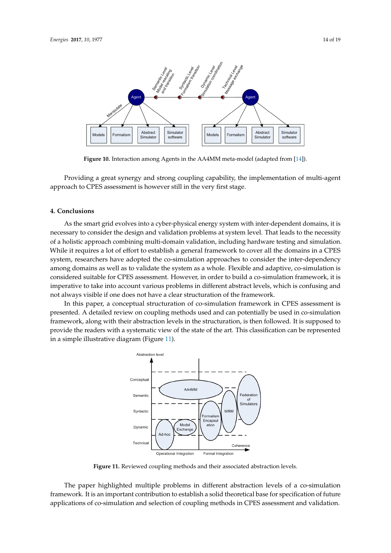<span id="page-13-1"></span>

**Figure 10.** Interaction among Agents in the AA4MM meta-model (adapted from [\[14\]](#page-15-10)).

Providing a great synergy and strong coupling capability, the implementation of multi-agent approach to CPES assessment is however still in the very first stage.

# <span id="page-13-0"></span>**4. Conclusions**

As the smart grid evolves into a cyber-physical energy system with inter-dependent domains, it is necessary to consider the design and validation problems at system level. That leads to the necessity of a holistic approach combining multi-domain validation, including hardware testing and simulation. While it requires a lot of effort to establish a general framework to cover all the domains in a CPES system, researchers have adopted the co-simulation approaches to consider the inter-dependency among domains as well as to validate the system as a whole. Flexible and adaptive, co-simulation is considered suitable for CPES assessment. However, in order to build a co-simulation framework, it is imperative to take into account various problems in different abstract levels, which is confusing and not always visible if one does not have a clear structuration of the framework.

<span id="page-13-2"></span>In this paper, a conceptual structuration of co-simulation framework in CPES assessment is presented. A detailed review on coupling methods used and can potentially be used in co-simulation framework, along with their abstraction levels in the structuration, is then followed. It is supposed to provide the readers with a systematic view of the state of the art. This classification can be represented in a simple illustrative diagram (Figure [11\)](#page-13-2).



**Figure 11.** Reviewed coupling methods and their associated abstraction levels.

The paper highlighted multiple problems in different abstraction levels of a co-simulation framework. It is an important contribution to establish a solid theoretical base for specification of future applications of co-simulation and selection of coupling methods in CPES assessment and validation.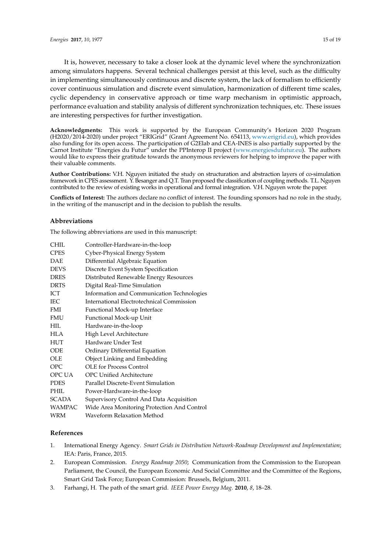It is, however, necessary to take a closer look at the dynamic level where the synchronization among simulators happens. Several technical challenges persist at this level, such as the difficulty in implementing simultaneously continuous and discrete system, the lack of formalism to efficiently cover continuous simulation and discrete event simulation, harmonization of different time scales, cyclic dependency in conservative approach or time warp mechanism in optimistic approach, performance evaluation and stability analysis of different synchronization techniques, etc. These issues are interesting perspectives for further investigation.

**Acknowledgments:** This work is supported by the European Community's Horizon 2020 Program (H2020/2014-2020) under project "ERIGrid" (Grant Agreement No. 654113, [www.erigrid.eu\)](www.erigrid.eu), which provides also funding for its open access. The participation of G2Elab and CEA-INES is also partially supported by the Carnot Institute "Energies du Futur" under the PPInterop II project [\(www.energiesdufutur.eu\)](www.energiesdufutur.eu). The authors would like to express their gratitude towards the anonymous reviewers for helping to improve the paper with their valuable comments.

**Author Contributions:** V.H. Nguyen initiated the study on structuration and abstraction layers of co-simulation framework in CPES assessment. Y. Besanger and Q.T. Tran proposed the classification of coupling methods. T.L. Nguyen contributed to the review of existing works in operational and formal integration. V.H. Nguyen wrote the paper.

**Conflicts of Interest:** The authors declare no conflict of interest. The founding sponsors had no role in the study, in the writing of the manuscript and in the decision to publish the results.

#### **Abbreviations**

The following abbreviations are used in this manuscript:

| CHIL          | Controller-Hardware-in-the-loop             |
|---------------|---------------------------------------------|
| <b>CPES</b>   | Cyber-Physical Energy System                |
| <b>DAE</b>    | Differential Algebraic Equation             |
| <b>DEVS</b>   | Discrete Event System Specification         |
| <b>DRES</b>   | Distributed Renewable Energy Resources      |
| <b>DRTS</b>   | Digital Real-Time Simulation                |
| ICT           | Information and Communication Technologies  |
| <b>IEC</b>    | International Electrotechnical Commission   |
| <b>FMI</b>    | Functional Mock-up Interface                |
| <b>FMU</b>    | Functional Mock-up Unit                     |
| HIL           | Hardware-in-the-loop                        |
| <b>HLA</b>    | High Level Architecture                     |
| <b>HUT</b>    | Hardware Under Test                         |
| <b>ODE</b>    | Ordinary Differential Equation              |
| OLE           | <b>Object Linking and Embedding</b>         |
| <b>OPC</b>    | <b>OLE</b> for Process Control              |
| OPC UA        | <b>OPC Unified Architecture</b>             |
| <b>PDES</b>   | Parallel Discrete-Event Simulation          |
| <b>PHIL</b>   | Power-Hardware-in-the-loop                  |
| <b>SCADA</b>  | Supervisory Control And Data Acquisition    |
| <b>WAMPAC</b> | Wide Area Monitoring Protection And Control |
| WRM           | Waveform Relaxation Method                  |

# **References**

- <span id="page-14-0"></span>1. International Energy Agency. *Smart Grids in Distribution Network-Roadmap Development and Implementation*; IEA: Paris, France, 2015.
- <span id="page-14-1"></span>2. European Commission. *Energy Roadmap 2050*; Communication from the Commission to the European Parliament, the Council, the European Economic And Social Committee and the Committee of the Regions, Smart Grid Task Force; European Commission: Brussels, Belgium, 2011.
- <span id="page-14-2"></span>3. Farhangi, H. The path of the smart grid. *IEEE Power Energy Mag.* **2010**, *8*, 18–28.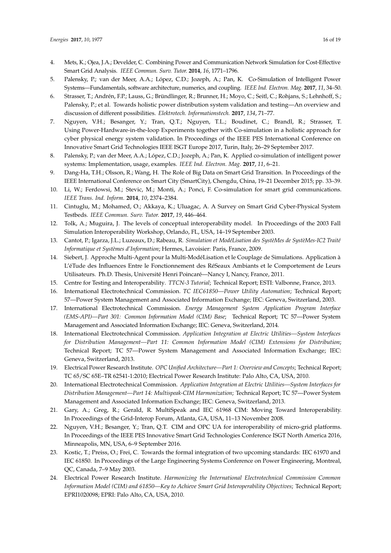- <span id="page-15-0"></span>4. Mets, K.; Ojea, J.A.; Develder, C. Combining Power and Communication Network Simulation for Cost-Effective Smart Grid Analysis. *IEEE Commun. Surv. Tutor.* **2014**, *16*, 1771–1796.
- <span id="page-15-1"></span>5. Palensky, P.; van der Meer, A.A.; López, C.D.; Jozeph, A.; Pan, K. Co-Simulation of Intelligent Power Systems—Fundamentals, software architecture, numerics, and coupling. *IEEE Ind. Electron. Mag.* **2017**, *11*, 34–50.
- <span id="page-15-2"></span>6. Strasser, T.; Andrén, F.P.; Lauss, G.; Bründlinger, R.; Brunner, H.; Moyo, C.; Seitl, C.; Rohjans, S.; Lehnhoff, S.; Palensky, P.; et al. Towards holistic power distribution system validation and testing—An overview and discussion of different possibilities. *Elektrotech. Informationstech.* **2017**, *134*, 71–77.
- <span id="page-15-3"></span>7. Nguyen, V.H.; Besanger, Y.; Tran, Q.T.; Nguyen, T.L.; Boudinet, C.; Brandl, R.; Strasser, T. Using Power-Hardware-in-the-loop Experiments together with Co-simulation in a holistic approach for cyber physical energy system validation. In Proceedings of the IEEE PES International Conference on Innovative Smart Grid Technologies IEEE ISGT Europe 2017, Turin, Italy, 26–29 September 2017.
- <span id="page-15-4"></span>8. Palensky, P.; van der Meer, A.A.; López, C.D.; Jozeph, A.; Pan, K. Applied co-simulation of intelligent power systems: Implementation, usage, examples. *IEEE Ind. Electron. Mag.* **2017**, *11*, 6–21.
- <span id="page-15-5"></span>9. Dang-Ha, T.H.; Olsson, R.; Wang, H. The Role of Big Data on Smart Grid Transition. In Proceedings of the IEEE International Conference on Smart City (SmartCity), Chengdu, China, 19–21 December 2015; pp. 33–39.
- <span id="page-15-6"></span>10. Li, W.; Ferdowsi, M.; Stevic, M.; Monti, A.; Ponci, F. Co-simulation for smart grid communications. *IEEE Trans. Ind. Inform.* **2014**, *10*, 2374–2384.
- <span id="page-15-7"></span>11. Cintuglu, M.; Mohamed, O.; Akkaya, K.; Uluagac, A. A Survey on Smart Grid Cyber-Physical System Testbeds. *IEEE Commun. Surv. Tutor.* **2017**, *19*, 446–464.
- <span id="page-15-8"></span>12. Tolk, A.; Muguira, J. The levels of conceptual interoperability model. In Proceedings of the 2003 Fall Simulation Interoperability Workshop, Orlando, FL, USA, 14–19 September 2003.
- <span id="page-15-9"></span>13. Cantot, P.; Igarza, J.L.; Luzeaux, D.; Rabeau, R. *Simulation et ModéLisation des SystèMes de SystèMes-IC2 Traité Informatique et Systèmes d'Information*; Hermes, Lavoisier: Paris, France, 2009.
- <span id="page-15-10"></span>14. Siebert, J. Approche Multi-Agent pour la Multi-ModéLisation et le Couplage de Simulations. Application à L'éTude des Influences Entre le Fonctionnement des RéSeaux Ambiants et le Comportement de Leurs Utilisateurs. Ph.D. Thesis, Université Henri Poincaré—Nancy I, Nancy, France, 2011.
- <span id="page-15-11"></span>15. Centre for Testing and Interoperability. *TTCN-3 Tutorial*; Technical Report; ESTI: Valbonne, France, 2013.
- <span id="page-15-12"></span>16. International Electrotechnical Commission. *TC IEC61850—Power Utility Automation*; Technical Report; 57—Power System Management and Associated Information Exchange; IEC: Geneva, Switzerland, 2003.
- <span id="page-15-13"></span>17. International Electrotechnical Commission. *Energy Management System Application Program Interface (EMS-API)—Part 301: Common Information Model (CIM) Base*; Technical Report; TC 57—Power System Management and Associated Information Exchange; IEC: Geneva, Switzerland, 2014.
- <span id="page-15-14"></span>18. International Electrotechnical Commission. *Application Integration at Electric Utilities—System Interfaces for Distribution Management—Part 11: Common Information Model (CIM) Extensions for Distribution*; Technical Report; TC 57—Power System Management and Associated Information Exchange; IEC: Geneva, Switzerland, 2013.
- <span id="page-15-15"></span>19. Electrical Power Research Institute. *OPC Unified Architecture—Part 1: Overview and Concepts*; Technical Report; TC 65/SC 65E–TR 62541-1:2010; Electrical Power Research Institute: Palo Alto, CA, USA, 2010.
- <span id="page-15-16"></span>20. International Electrotechnical Commission. *Application Integration at Electric Utilities—System Interfaces for Distribution Management—Part 14: Multispeak-CIM Harmonization*; Technical Report; TC 57—Power System Management and Associated Information Exchange; IEC: Geneva, Switzerland, 2013.
- 21. Gary, A.; Greg, R.; Gerald, R. MultiSpeak and IEC 61968 CIM: Moving Toward Interoperability. In Proceedings of the Grid-Interop Forum, Atlanta, GA, USA, 11–13 November 2008.
- <span id="page-15-17"></span>22. Nguyen, V.H.; Besanger, Y.; Tran, Q.T. CIM and OPC UA for interoperability of micro-grid platforms. In Proceedings of the IEEE PES Innovative Smart Grid Technologies Conference ISGT North America 2016, Minneapolis, MN, USA, 6–9 September 2016.
- <span id="page-15-18"></span>23. Kostic, T.; Preiss, O.; Frei, C. Towards the formal integration of two upcoming standards: IEC 61970 and IEC 61850. In Proceedings of the Large Engineering Systems Conference on Power Engineering, Montreal, QC, Canada, 7–9 May 2003.
- 24. Electrical Power Research Institute. *Harmonizing the International Electrotechnical Commission Common Information Model (CIM) and 61850—Key to Achieve Smart Grid Interoperability Objectives*; Technical Report; EPRI1020098; EPRI: Palo Alto, CA, USA, 2010.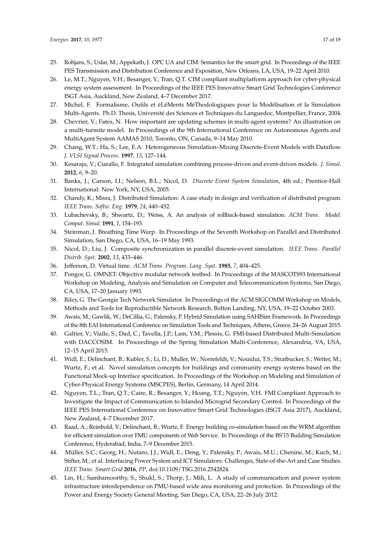- <span id="page-16-0"></span>25. Rohjans, S.; Uslar, M.; Appekath, J. OPC UA and CIM: Semantics for the smart grid. In Proceedings of the IEEE PES Transmission and Distribution Conference and Exposition, New Orleans, LA, USA, 19–22 April 2010.
- <span id="page-16-1"></span>26. Le, M.T.; Nguyen, V.H.; Besanger, Y.; Tran, Q.T. CIM compliant multiplatform approach for cyber-physical energy system assessment. In Proceedings of the IEEE PES Innovative Smart Grid Technologies Conference ISGT Asia, Auckland, New Zealand, 4–7 December 2017.
- <span id="page-16-2"></span>27. Michel, F. Formalisme, Outils et éLéMents MéThodologiques pour la Modélisation et la Simulation Multi-Agents. Ph.D. Thesis, Université des Sciences et Techniques du Languedoc, Montpellier, France, 2004.
- <span id="page-16-3"></span>28. Chevrier, V.; Fates, N. How important are updating schemes in multi-agent systems? An illustration on a multi-turmite model. In Proceedings of the 9th International Conference on Autonomous Agents and MultiAgent System AAMAS 2010, Toronto, ON, Canada, 9–14 May 2010.
- <span id="page-16-4"></span>29. Chang, W.T.; Ha, S.; Lee, E.A. Heterogeneous Simulation–Mixing Discrete-Event Models with Dataflow. *J. VLSI Signal Process.* **1997**, *15*, 127–144.
- <span id="page-16-5"></span>30. Kesaraju, V.; Ciarallo, F. Integrated simulation combining process-driven and event-driven models. *J. Simul.* **2012**, *6*, 9–20.
- <span id="page-16-6"></span>31. Banks, J.; Carson, I.I.; Nelson, B.L.; Nicol, D. *Discrete Event System Simulation*, 4th ed.; Prentice-Hall International: New York, NY, USA, 2005.
- <span id="page-16-7"></span>32. Chandy, K.; Misra, J. Distributed Simulation: A case study in design and verification of distributed program. *IEEE Trans. Softw. Eng.* **1979**, *24*, 440–452.
- <span id="page-16-8"></span>33. Lubachevsky, B.; Shwartz, D.; Weiss, A. An analysis of rollback-based simulation. *ACM Trans. Model. Comput. Simul.* **1991**, *1*, 154–193.
- <span id="page-16-9"></span>34. Steinman, J. Breathing Time Warp. In Proceedings of the Seventh Workshop on Parallel and Distributed Simulation, San Diego, CA, USA, 16–19 May 1993.
- <span id="page-16-10"></span>35. Nicol, D.; Liu, J. Composite synchronization in parallel discrete-event simulation. *IEEE Trans. Parallel Distrib. Syst.* **2002**, *13*, 433–446.
- <span id="page-16-11"></span>36. Jefferson, D. Virtual time. *ACM Trans. Program. Lang. Syst.* **1985**, *7*, 404–425.
- <span id="page-16-12"></span>37. Pongor, G. OMNET: Objective modular network testbed. In Proceedings of the MASCOTS93 International Workshop on Modeling, Analysis and Simulation on Computer and Telecommunication Systems, San Diego, CA, USA, 17–20 January 1993.
- <span id="page-16-13"></span>38. Riley, G. The Georgie Tech Network Simulator. In Proceedings of the ACM SIGCOMM Workshop on Models, Methods and Tools for Reproductible Network Research, Bolton Landing, NY, USA, 19–22 October 2003.
- <span id="page-16-14"></span>39. Awais, M.; Gawlik, W.; DeCillia, G.; Palensky, P. Hybrid Simulation using SAHISim Framework. In Proceedings of the 8th EAI International Conference on Simulation Tools and Techniques, Athens, Greece, 24–26 August 2015.
- <span id="page-16-15"></span>40. Galtier, V.; Vialle, S.; Dad, C.; Tavella, J.P.; Lam, Y.M.; Plessis, G. FMI-based Distributed Multi-Simulation with DACCOSIM. In Proceedings of the Spring Simulation Multi-Conference, Alexandria, VA, USA, 12–15 April 2015.
- <span id="page-16-16"></span>41. Widl, E.; Delinchant, B.; Kubler, S.; Li, D.; Muller, W.; Norrefeldt, V.; Nouidui, T.S.; Stratbucker, S.; Wetter, M.; Wurtz, F.; et al. Novel simulation concepts for buildings and community energy systems based on the Functional Mock-up Interface specification. In Proceedings of the Workshop on Modeling and Simulation of Cyber-Physical Energy Systems (MSCPES), Berlin, Germany, 14 April 2014.
- <span id="page-16-17"></span>42. Nguyen, T.L.; Tran, Q.T.; Caire, R.; Besanger, Y.; Hoang, T.T.; Nguyen, V.H. FMI Compliant Approach to Investigate the Impact of Communication to Islanded Microgrid Secondary Control. In Proceedings of the IEEE PES International Conference on Innovative Smart Grid Technologies (ISGT Asia 2017), Auckland, New Zealand, 4–7 December 2017.
- <span id="page-16-18"></span>43. Raad, A.; Reinbold, V.; Delinchant, B.; Wurtz, F. Energy building co-simulation based on the WRM algorithm for efficient simulation over FMU components of Web Service. In Proceedings of the BS'15 Building Simulation Conference, Hyderabad, India, 7–9 December 2015.
- <span id="page-16-19"></span>44. Müller, S.C.; Georg, H.; Nutaro, J.J.; Widl, E.; Deng, Y.; Palensky, P.; Awais, M.U.; Chenine, M.; Kuch, M.; Stifter, M.; et al. Interfacing Power System and ICT Simulators: Challenges, State-of-the-Art and Case Studies. *IEEE Trans. Smart Grid* **2016**, *PP*, doi:10.1109/TSG.2016.2542824.
- <span id="page-16-20"></span>45. Lin, H.; Sambamoorthy, S.; Shukl, S.; Thorp, J.; Mili, L. A study of communication and power system infrastructure interdependence on PMU-based wide area monitoring and protection. In Proceedings of the Power and Energy Society General Meeting, San Diego, CA, USA, 22–26 July 2012.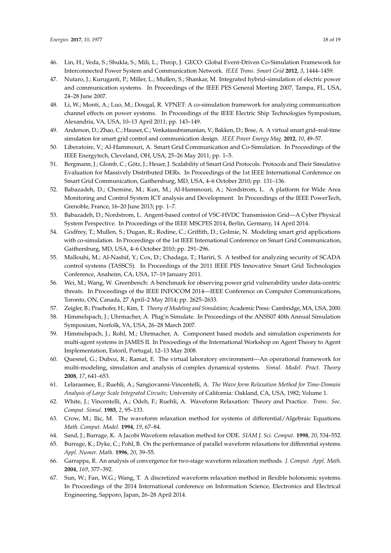- <span id="page-17-0"></span>46. Lin, H.; Veda, S.; Shukla, S.; Mili, L.; Throp, J. GECO: Global Event-Driven Co-Simulation Framework for Interconnected Power System and Communication Network. *IEEE Trans. Smart Grid* **2012**, *3*, 1444–1459.
- <span id="page-17-1"></span>47. Nutaro, J.; Kuruganti, P.; Miller, L.; Mullen, S.; Shankar, M. Integrated hybrid-simulation of electric power and communication systems. In Proceedings of the IEEE PES General Meeting 2007, Tampa, FL, USA, 24–28 June 2007.
- <span id="page-17-2"></span>48. Li, W.; Monti, A.; Luo, M.; Dougal, R. VPNET: A co-simulation framework for analyzing communication channel effects on power systems. In Proceedings of the IEEE Electric Ship Technologies Symposium, Alexandria, VA, USA, 10–13 April 2011; pp. 143–149.
- <span id="page-17-3"></span>49. Anderson, D.; Zhao, C.; Hauser, C.; Venkatasubramanian, V.; Bakken, D.; Bose, A. A virtual smart grid–real-time simulation for smart grid control and communication design. *IEEE Power Energy Mag.* **2012**, *10*, 49–57.
- <span id="page-17-4"></span>50. Liberatoire, V.; Al-Hammouri, A. Smart Grid Communication and Co-Simulation. In Proceedings of the IEEE Energytech, Cleveland, OH, USA, 25–26 May 2011; pp. 1–5.
- <span id="page-17-5"></span>51. Bergmann, J.; Glomb, C.; Götz, J.; Heuer, J. Scalability of Smart Grid Protocols: Protocols and Their Simulative Evaluation for Massively Distributed DERs. In Proceedings of the 1st IEEE International Conference on Smart Grid Communication, Gaithersburg, MD, USA, 4–6 October 2010; pp. 131–136.
- <span id="page-17-6"></span>52. Babazadeh, D.; Chemine, M.; Kun, M.; Al-Hammouri, A.; Nordstrom, L. A platform for Wide Area Monitoring and Control System ICT analysis and Development. In Proceedings of the IEEE PowerTech, Grenoble, France, 16–20 June 2013; pp. 1–7.
- <span id="page-17-7"></span>53. Babazadeh, D.; Nordstrom, L. Angent-based control of VSC-HVDC Transmission Grid—A Cyber Physical System Perspective. In Proceedings of the IEEE MSCPES 2014, Berlin, Germany, 14 April 2014.
- <span id="page-17-8"></span>54. Godfrey, T.; Mullen, S.; Dugan, R.; Rodine, C.; Griffith, D.; Golmie, N. Modeling smart grid applications with co-simulation. In Proceedings of the 1st IEEE International Conference on Smart Grid Communication, Gaithersburg, MD, USA, 4–6 October 2010; pp. 291–296.
- <span id="page-17-9"></span>55. Mallouhi, M.; Al-Nashif, Y.; Cox, D.; Chadaga, T.; Hariri, S. A testbed for analyzing security of SCADA control systems (TASSCS). In Proceedings of the 2011 IEEE PES Innovative Smart Grid Technologies Conference, Anaheim, CA, USA, 17–19 January 2011.
- <span id="page-17-10"></span>56. Wei, M.; Wang, W. Greenbench: A benchmark for observing power grid vulnerability under data-centric threats. In Proceedings of the IEEE INFOCOM 2014—IEEE Conference on Computer Communications, Toronto, ON, Canada, 27 April–2 May 2014; pp. 2625–2633.
- <span id="page-17-11"></span>57. Zeigler, B.; Praehofer, H.; Kim, T. *Theory of Modeling and Simulation*; Academic Press: Cambridge, MA, USA, 2000.
- <span id="page-17-12"></span>58. Himmelspach, J.; Uhrmacher, A. Plug'n Simulate. In Proceedings of the ANSS07 40th Annual Simulation Symposium, Norfolk, VA, USA, 26–28 March 2007.
- 59. Himmelspach, J.; Rohl, M.; Uhrmacher, A. Component based models and simulation experiments for multi-agent systems in JAMES II. In Proceedings of the International Workshop on Agent Theory to Agent Implementation, Estoril, Portugal, 12–13 May 2008.
- <span id="page-17-13"></span>60. Quesnel, G.; Duboz, R.; Ramat, E. The virtual laboratory environment—An operational framework for multi-modeling, simulation and analysis of complex dynamical systems. *Simul. Model. Pract. Theory* **2008**, *17*, 641–653.
- <span id="page-17-14"></span>61. Lelarasmee, E.; Ruehli, A.; Sangiovanni-Vincentelli, A. *The Wave form Relaxation Method for Time-Domain Analysis of Large Scale Integrated Circuits*; University of California: Oakland, CA, USA, 1982; Volume 1.
- <span id="page-17-15"></span>62. White, J.; Vincentelli, A.; Odeh, F.; Ruehli, A. Waveform Relaxation: Theory and Practice. *Trans. Soc. Comput. Simul.* **1985**, *2*, 95–133.
- <span id="page-17-16"></span>63. Crow, M.; Ilic, M. The waveform relaxation method for systems of differential/Algebraic Equations. *Math. Comput. Model.* **1994**, *19*, 67–84.
- <span id="page-17-17"></span>64. Sand, J.; Burrage, K. A Jacobi Waveform relaxation method for ODE. *SIAM J. Sci. Comput.* **1998**, *20*, 534–552.
- <span id="page-17-18"></span>65. Burrage, K.; Dyke, C.; Pohl, B. On the performance of parallel waveform relaxations for differential systems. *Appl. Numer. Math.* **1996**, *20*, 39–55.
- <span id="page-17-19"></span>66. Garrappa, R. An analysis of convergence for two-stage waveform relaxation methods. *J. Comput. Appl. Math.* **2004**, *169*, 377–392.
- <span id="page-17-20"></span>67. Sun, W.; Fan, W.G.; Wang, T. A discretized waveform relaxation method in flexible holonomic systems. In Proceedings of the 2014 International conference on Information Science, Electronics and Electrical Engineering, Sapporo, Japan, 26–28 April 2014.